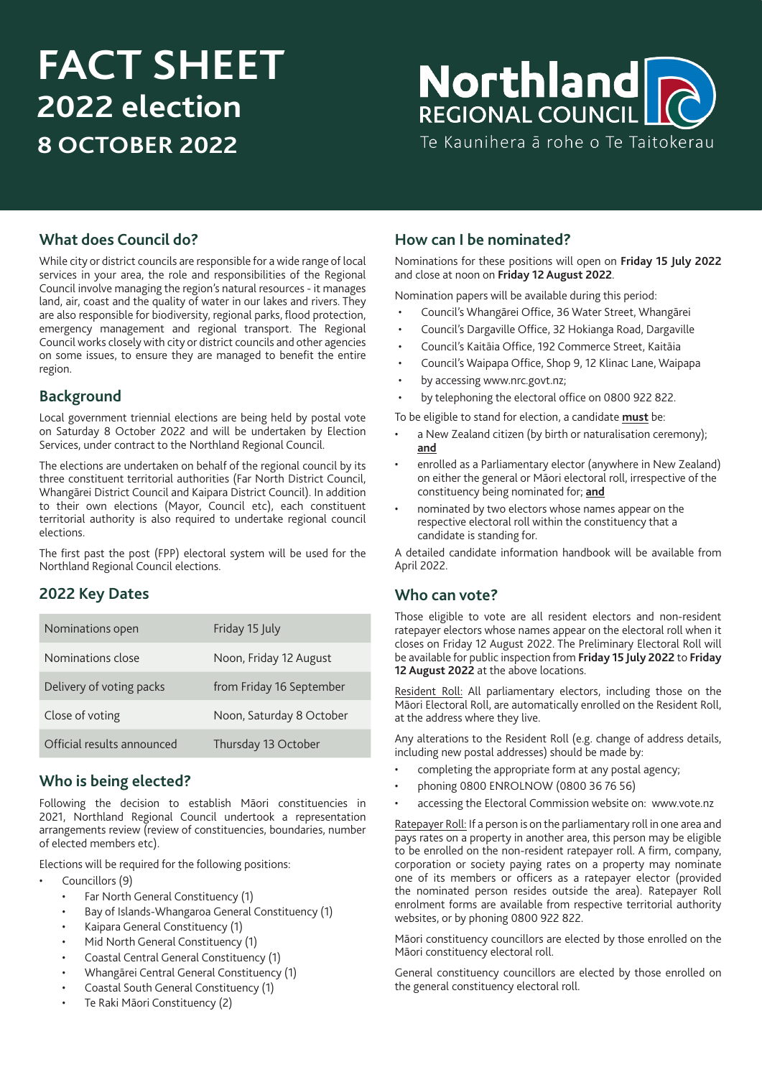# **FACT SHEET 2022 election 8 OCTOBER 2022**

# Northland **REGIONAL COUNCIL CO**

Te Kaunihera ā rohe o Te Taitokerau

#### **What does Council do?**

While city or district councils are responsible for a wide range of local services in your area, the role and responsibilities of the Regional Council involve managing the region's natural resources - it manages land, air, coast and the quality of water in our lakes and rivers. They are also responsible for biodiversity, regional parks, flood protection, emergency management and regional transport. The Regional Council works closely with city or district councils and other agencies on some issues, to ensure they are managed to benefit the entire region.

#### **Background**

Local government triennial elections are being held by postal vote on Saturday 8 October 2022 and will be undertaken by Election Services, under contract to the Northland Regional Council.

The elections are undertaken on behalf of the regional council by its three constituent territorial authorities (Far North District Council, Whangārei District Council and Kaipara District Council). In addition to their own elections (Mayor, Council etc), each constituent territorial authority is also required to undertake regional council elections.

The first past the post (FPP) electoral system will be used for the Northland Regional Council elections.

## **2022 Key Dates**

| Nominations open           | Friday 15 July           |
|----------------------------|--------------------------|
| Nominations close          | Noon, Friday 12 August   |
| Delivery of voting packs   | from Friday 16 September |
| Close of voting            | Noon, Saturday 8 October |
| Official results announced | Thursday 13 October      |

#### **Who is being elected?**

Following the decision to establish Māori constituencies in 2021, Northland Regional Council undertook a representation arrangements review (review of constituencies, boundaries, number of elected members etc).

Elections will be required for the following positions:

- Councillors (9)
	- Far North General Constituency (1)
	- Bay of Islands-Whangaroa General Constituency (1)
	- Kaipara General Constituency (1)
	- Mid North General Constituency (1)
	- Coastal Central General Constituency (1)
	- Whangārei Central General Constituency (1)
	- Coastal South General Constituency (1)
	- Te Raki Māori Constituency (2)

#### **How can I be nominated?**

Nominations for these positions will open on **Friday 15 July 2022** and close at noon on **Friday 12 August 2022**.

Nomination papers will be available during this period:

- Council's Whangārei Office, 36 Water Street, Whangārei
- Council's Dargaville Office, 32 Hokianga Road, Dargaville
- Council's Kaitāia Office, 192 Commerce Street, Kaitāia
- Council's Waipapa Office, Shop 9, 12 Klinac Lane, Waipapa
- by accessing www.nrc.govt.nz;
- by telephoning the electoral office on 0800 922 822.

To be eligible to stand for election, a candidate **must** be:

- a New Zealand citizen (by birth or naturalisation ceremony); **and**
- enrolled as a Parliamentary elector (anywhere in New Zealand) on either the general or Māori electoral roll, irrespective of the constituency being nominated for; **and**
- nominated by two electors whose names appear on the respective electoral roll within the constituency that a candidate is standing for.

A detailed candidate information handbook will be available from April 2022.

#### **Who can vote?**

Those eligible to vote are all resident electors and non-resident ratepayer electors whose names appear on the electoral roll when it closes on Friday 12 August 2022. The Preliminary Electoral Roll will be available for public inspection from **Friday 15 July 2022** to **Friday 12 August 2022** at the above locations.

Resident Roll: All parliamentary electors, including those on the Māori Electoral Roll, are automatically enrolled on the Resident Roll, at the address where they live.

Any alterations to the Resident Roll (e.g. change of address details, including new postal addresses) should be made by:

- completing the appropriate form at any postal agency;
- phoning 0800 ENROLNOW (0800 36 76 56)
- accessing the Electoral Commission website on: www.vote.nz

Ratepayer Roll: If a person is on the parliamentary roll in one area and pays rates on a property in another area, this person may be eligible to be enrolled on the non-resident ratepayer roll. A firm, company, corporation or society paying rates on a property may nominate one of its members or officers as a ratepayer elector (provided the nominated person resides outside the area). Ratepayer Roll enrolment forms are available from respective territorial authority websites, or by phoning 0800 922 822.

Māori constituency councillors are elected by those enrolled on the Māori constituency electoral roll.

General constituency councillors are elected by those enrolled on the general constituency electoral roll.